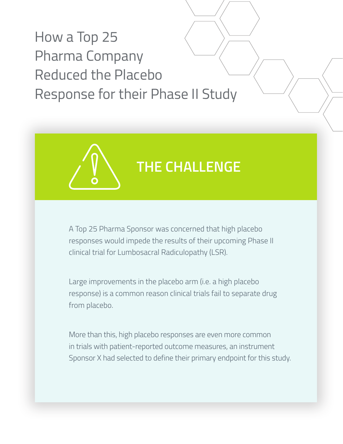How a Top 25 Pharma Company Reduced the Placebo Response for their Phase II Study



A Top 25 Pharma Sponsor was concerned that high placebo responses would impede the results of their upcoming Phase II clinical trial for Lumbosacral Radiculopathy (LSR).

Large improvements in the placebo arm (i.e. a high placebo response) is a common reason clinical trials fail to separate drug from placebo.

More than this, high placebo responses are even more common in trials with patient-reported outcome measures, an instrument Sponsor X had selected to define their primary endpoint for this study.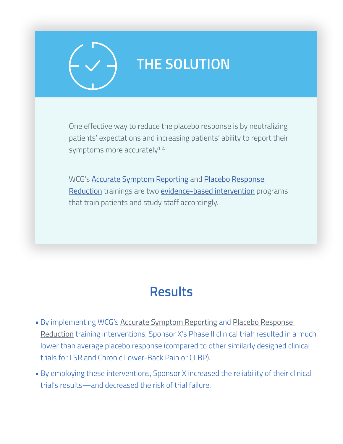

One effective way to reduce the placebo response is by neutralizing patients' expectations and increasing patients' ability to report their symptoms more accurately $1,2$ .

WCG's [Accurate Symptom Reporting](https://www.wcgclinical.com/services/accurate-symptom-reporting/) and [Placebo Response](https://www.wcgclinical.com/services/placebo-response-reduction/)  [Reduction](https://www.wcgclinical.com/services/placebo-response-reduction/) trainings are two [evidence-based intervention](https://www.wcgclinical.com/services/timely-targeted-interventions/) programs that train patients and study staff accordingly.

## **Results**

- By implementing WCG's [Accurate Symptom Reporting](https://www.wcgclinical.com/services/accurate-symptom-reporting/) and [Placebo Response](https://www.wcgclinical.com/services/placebo-response-reduction/)  Reduction training interventions, Sponsor X's Phase II clinical trial<sup>3</sup> resulted in a much lower than average placebo response (compared to other similarly designed clinical trials for LSR and Chronic Lower-Back Pain or CLBP).
- By employing these interventions, Sponsor X increased the reliability of their clinical trial's results—and decreased the risk of trial failure.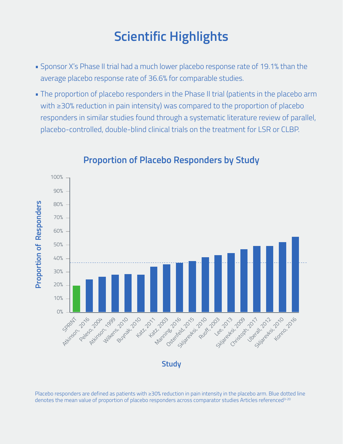## **Scientific Highlights**

- Sponsor X's Phase II trial had a much lower placebo response rate of 19.1% than the average placebo response rate of 36.6% for comparable studies.
- The proportion of placebo responders in the Phase II trial (patients in the placebo arm with ≥30% reduction in pain intensity) was compared to the proportion of placebo responders in similar studies found through a systematic literature review of parallel, placebo-controlled, double-blind clinical trials on the treatment for LSR or CLBP.



## **Proportion of Placebo Responders by Study**

Placebo responders are defined as patients with ≥30% reduction in pain intensity in the placebo arm. Blue dotted line denotes the mean value of proportion of placebo responders across comparator studies Articles referenced<sup>3-20</sup>